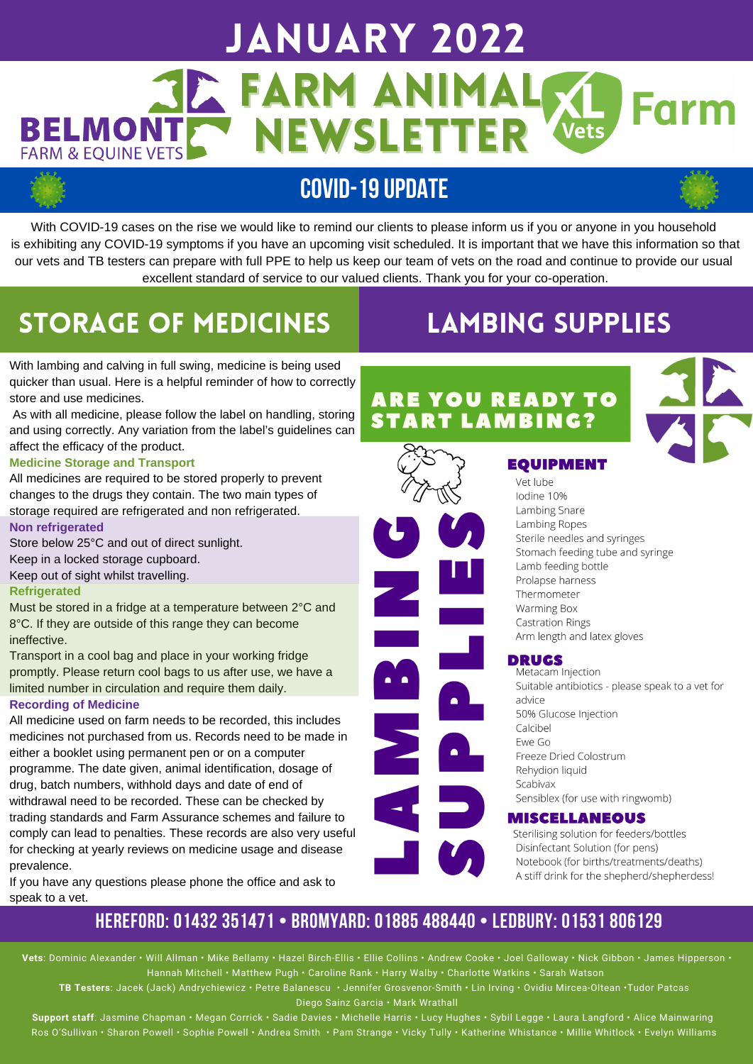## January 2022 **JE FARM ANIMAL** Farn **BELMONT** NEWSLETTER **FARM & EQUINE VETS**

## **COVID-19UPDATE**

With COVID-19 cases on the rise we would like to remind our clients to please inform us if you or anyone in you household is exhibiting any COVID-19 symptoms if you have an upcoming visit scheduled. It is important that we have this information so that our vets and TB testers can prepare with full PPE to help us keep our team of vets on the road and continue to provide our usual excellent standard of service to our valued clients. Thank you for your co-operation.

# Storage of Medicines

# Lambing SUPPLIES

With lambing and calving in full swing, medicine is being used quicker than usual. Here is a helpful reminder of how to correctly store and use medicines.

As with all medicine, please follow the label on handling, storing and using correctly. Any variation from the label's guidelines can affect the efficacy of the product.

#### **Medicine Storage and Transport**

All medicines are required to be stored properly to prevent changes to the drugs they contain. The two main types of storage required are refrigerated and non refrigerated. **Non refrigerated**

Store below 25°C and out of direct sunlight.

Keep in a locked storage cupboard.

#### Keep out of sight whilst travelling.

#### **Refrigerated**

Must be stored in a fridge at a temperature between 2°C and 8°C. If they are outside of this range they can become ineffective.

Transport in a cool bag and place in your working fridge promptly. Please return cool bags to us after use, we have a limited number in circulation and require them daily.

#### **Recording of Medicine**

All medicine used on farm needs to be recorded, this includes medicines not purchased from us. Records need to be made in either a booklet using permanent pen or on a computer programme. The date given, animal identification, dosage of drug, batch numbers, withhold days and date of end of withdrawal need to be recorded. These can be checked by trading standards and Farm Assurance schemes and failure to comply can lead to penalties. These records are also very useful for checking at yearly reviews on medicine usage and disease prevalence.

If you have any questions please phone the office and ask to speak to a vet.

### **ARE YOU READY TO START LAMBING?**





Vet lube lodine 10% Lambing Snare Lambing Ropes Sterile needles and syringes Stomach feeding tube and syringe Lamb feeding bottle Prolapse harness Thermometer Warming Box **Castration Rings** Arm length and latex gloves

#### **DRUGS**

Metacam Injection Suitable antibiotics - please speak to a vet for advice 50% Glucose Injection Calcibel Ewe Go Freeze Dried Colostrum Rehydion liquid Scabivax Sensiblex (for use with ringwomb)

#### **MISCELLANEOUS**

Sterilising solution for feeders/bottles Disinfectant Solution (for pens) Notebook (for births/treatments/deaths) A stiff drink for the shepherd/shepherdess!

### **HEREFORD: 01432 351471 • BROMYARD: 01885 488440 • LEDBURY: 01531 806129**

**Vets**: Dominic Alexander • Will Allman • Mike Bellamy • Hazel Birch-Ellis • Ellie Collins • Andrew Cooke • Joel Galloway • Nick Gibbon • James Hipperson • Hannah Mitchell • Matthew Pugh • Caroline Rank • Harry Walby • Charlotte Watkins • Sarah Watson

**TB Testers**: Jacek (Jack) Andrychiewicz • Petre Balanescu • Jennifer Grosvenor-Smith • Lin Irving • Ovidiu Mircea-Oltean •Tudor Patcas Diego Sainz Garcia • Mark Wrathall

**Support staff**: Jasmine Chapman • Megan Corrick • Sadie Davies • Michelle Harris • Lucy Hughes • Sybil Legge • Laura Langford • Alice Mainwaring Ros O'Sullivan • Sharon Powell • Sophie Powell • Andrea Smith • Pam Strange • Vicky Tully • Katherine Whistance • Millie Whitlock • Evelyn Williams